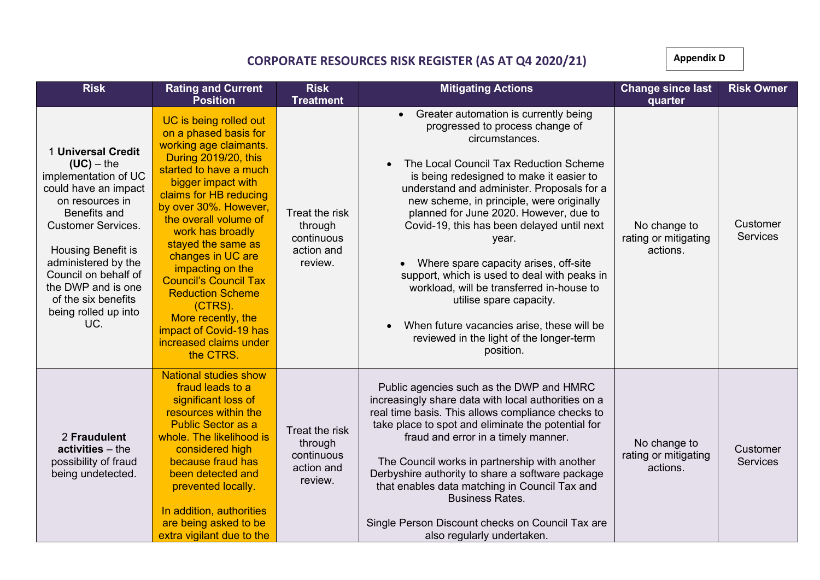## **CORPORATE RESOURCES RISK REGISTER (AS AT Q4 2020/21)**

**Appendix D** 

| <b>Risk</b>                                                                                                                                                                                                                                                                                         | <b>Rating and Current</b>                                                                                                                                                                                                                                                                                                                                                                                                                                                                        | <b>Risk</b>                                                                          | <b>Mitigating Actions</b>                                                                                                                                                                                                                                                                                                                                                                                                                                                                                                                                                                                                                              | <b>Change since last</b>                                    | <b>Risk Owner</b>           |
|-----------------------------------------------------------------------------------------------------------------------------------------------------------------------------------------------------------------------------------------------------------------------------------------------------|--------------------------------------------------------------------------------------------------------------------------------------------------------------------------------------------------------------------------------------------------------------------------------------------------------------------------------------------------------------------------------------------------------------------------------------------------------------------------------------------------|--------------------------------------------------------------------------------------|--------------------------------------------------------------------------------------------------------------------------------------------------------------------------------------------------------------------------------------------------------------------------------------------------------------------------------------------------------------------------------------------------------------------------------------------------------------------------------------------------------------------------------------------------------------------------------------------------------------------------------------------------------|-------------------------------------------------------------|-----------------------------|
| 1 Universal Credit<br>$(UC)$ – the<br>implementation of UC<br>could have an impact<br>on resources in<br>Benefits and<br><b>Customer Services.</b><br>Housing Benefit is<br>administered by the<br>Council on behalf of<br>the DWP and is one<br>of the six benefits<br>being rolled up into<br>UC. | <b>Position</b><br>UC is being rolled out<br>on a phased basis for<br>working age claimants.<br>During 2019/20, this<br>started to have a much<br>bigger impact with<br>claims for HB reducing<br>by over 30%. However,<br>the overall volume of<br>work has broadly<br>stayed the same as<br>changes in UC are<br>impacting on the<br><b>Council's Council Tax</b><br><b>Reduction Scheme</b><br>(CTRS).<br>More recently, the<br>impact of Covid-19 has<br>increased claims under<br>the CTRS. | <b>Treatment</b><br>Treat the risk<br>through<br>continuous<br>action and<br>review. | • Greater automation is currently being<br>progressed to process change of<br>circumstances.<br>The Local Council Tax Reduction Scheme<br>is being redesigned to make it easier to<br>understand and administer. Proposals for a<br>new scheme, in principle, were originally<br>planned for June 2020. However, due to<br>Covid-19, this has been delayed until next<br>year.<br>Where spare capacity arises, off-site<br>support, which is used to deal with peaks in<br>workload, will be transferred in-house to<br>utilise spare capacity.<br>When future vacancies arise, these will be<br>reviewed in the light of the longer-term<br>position. | quarter<br>No change to<br>rating or mitigating<br>actions. | Customer<br><b>Services</b> |
| 2 Fraudulent<br>$activeities - the$<br>possibility of fraud<br>being undetected.                                                                                                                                                                                                                    | <b>National studies show</b><br>fraud leads to a<br>significant loss of<br>resources within the<br><b>Public Sector as a</b><br>whole. The likelihood is<br>considered high<br>because fraud has<br>been detected and<br>prevented locally.<br>In addition, authorities<br>are being asked to be<br>extra vigilant due to the                                                                                                                                                                    | Treat the risk<br>through<br>continuous<br>action and<br>review.                     | Public agencies such as the DWP and HMRC<br>increasingly share data with local authorities on a<br>real time basis. This allows compliance checks to<br>take place to spot and eliminate the potential for<br>fraud and error in a timely manner.<br>The Council works in partnership with another<br>Derbyshire authority to share a software package<br>that enables data matching in Council Tax and<br><b>Business Rates.</b><br>Single Person Discount checks on Council Tax are<br>also regularly undertaken.                                                                                                                                    | No change to<br>rating or mitigating<br>actions.            | Customer<br><b>Services</b> |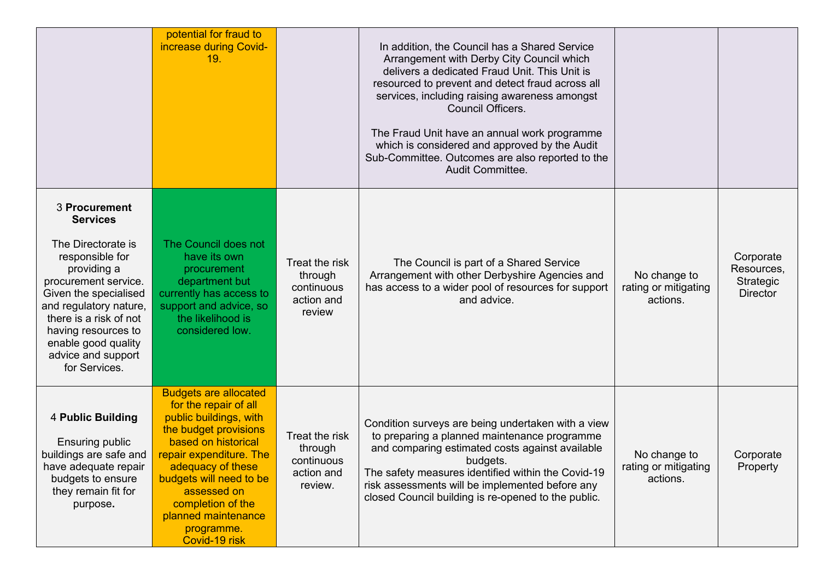|                                                                                                                                                                                                                                                | potential for fraud to<br>increase during Covid-<br>19.                                                                                                                                                                                                                                              |                                                                  | In addition, the Council has a Shared Service<br>Arrangement with Derby City Council which<br>delivers a dedicated Fraud Unit. This Unit is<br>resourced to prevent and detect fraud across all<br>services, including raising awareness amongst<br><b>Council Officers.</b><br>The Fraud Unit have an annual work programme<br>which is considered and approved by the Audit<br>Sub-Committee. Outcomes are also reported to the<br>Audit Committee. |                                                  |                                                         |
|------------------------------------------------------------------------------------------------------------------------------------------------------------------------------------------------------------------------------------------------|------------------------------------------------------------------------------------------------------------------------------------------------------------------------------------------------------------------------------------------------------------------------------------------------------|------------------------------------------------------------------|-------------------------------------------------------------------------------------------------------------------------------------------------------------------------------------------------------------------------------------------------------------------------------------------------------------------------------------------------------------------------------------------------------------------------------------------------------|--------------------------------------------------|---------------------------------------------------------|
| 3 Procurement<br><b>Services</b>                                                                                                                                                                                                               |                                                                                                                                                                                                                                                                                                      |                                                                  |                                                                                                                                                                                                                                                                                                                                                                                                                                                       |                                                  |                                                         |
| The Directorate is<br>responsible for<br>providing a<br>procurement service.<br>Given the specialised<br>and regulatory nature,<br>there is a risk of not<br>having resources to<br>enable good quality<br>advice and support<br>for Services. | The Council does not<br>have its own<br>procurement<br>department but<br>currently has access to<br>support and advice, so<br>the likelihood is<br>considered low.                                                                                                                                   | Treat the risk<br>through<br>continuous<br>action and<br>review  | The Council is part of a Shared Service<br>Arrangement with other Derbyshire Agencies and<br>has access to a wider pool of resources for support<br>and advice.                                                                                                                                                                                                                                                                                       | No change to<br>rating or mitigating<br>actions. | Corporate<br>Resources,<br>Strategic<br><b>Director</b> |
| 4 Public Building<br><b>Ensuring public</b><br>buildings are safe and<br>have adequate repair<br>budgets to ensure<br>they remain fit for<br>purpose.                                                                                          | <b>Budgets are allocated</b><br>for the repair of all<br>public buildings, with<br>the budget provisions<br>based on historical<br>repair expenditure. The<br>adequacy of these<br>budgets will need to be<br>assessed on<br>completion of the<br>planned maintenance<br>programme.<br>Covid-19 risk | Treat the risk<br>through<br>continuous<br>action and<br>review. | Condition surveys are being undertaken with a view<br>to preparing a planned maintenance programme<br>and comparing estimated costs against available<br>budgets.<br>The safety measures identified within the Covid-19<br>risk assessments will be implemented before any<br>closed Council building is re-opened to the public.                                                                                                                     | No change to<br>rating or mitigating<br>actions. | Corporate<br>Property                                   |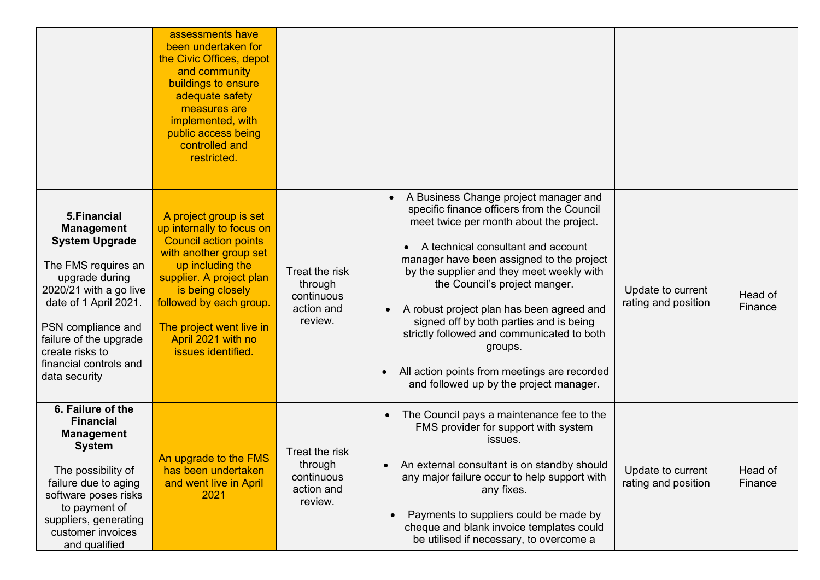|                                                                                                                                                                                                                                                                      | assessments have<br>been undertaken for<br>the Civic Offices, depot<br>and community<br>buildings to ensure<br>adequate safety<br>measures are<br>implemented, with<br>public access being<br>controlled and<br>restricted.                                                          |                                                                  |                                                                                                                                                                                                                                                                                                                                                                                                                                                                                                                                                          |                                          |                    |
|----------------------------------------------------------------------------------------------------------------------------------------------------------------------------------------------------------------------------------------------------------------------|--------------------------------------------------------------------------------------------------------------------------------------------------------------------------------------------------------------------------------------------------------------------------------------|------------------------------------------------------------------|----------------------------------------------------------------------------------------------------------------------------------------------------------------------------------------------------------------------------------------------------------------------------------------------------------------------------------------------------------------------------------------------------------------------------------------------------------------------------------------------------------------------------------------------------------|------------------------------------------|--------------------|
| 5. Financial<br><b>Management</b><br><b>System Upgrade</b><br>The FMS requires an<br>upgrade during<br>2020/21 with a go live<br>date of 1 April 2021.<br>PSN compliance and<br>failure of the upgrade<br>create risks to<br>financial controls and<br>data security | A project group is set<br>up internally to focus on<br><b>Council action points</b><br>with another group set<br>up including the<br>supplier. A project plan<br>is being closely<br>followed by each group.<br>The project went live in<br>April 2021 with no<br>issues identified. | Treat the risk<br>through<br>continuous<br>action and<br>review. | A Business Change project manager and<br>specific finance officers from the Council<br>meet twice per month about the project.<br>A technical consultant and account<br>manager have been assigned to the project<br>by the supplier and they meet weekly with<br>the Council's project manger.<br>A robust project plan has been agreed and<br>signed off by both parties and is being<br>strictly followed and communicated to both<br>groups.<br>All action points from meetings are recorded<br>$\bullet$<br>and followed up by the project manager. | Update to current<br>rating and position | Head of<br>Finance |
| 6. Failure of the<br><b>Financial</b><br><b>Management</b><br><b>System</b><br>The possibility of<br>failure due to aging<br>software poses risks<br>to payment of<br>suppliers, generating<br>customer invoices<br>and qualified                                    | An upgrade to the FMS<br>has been undertaken<br>and went live in April<br>2021                                                                                                                                                                                                       | Treat the risk<br>through<br>continuous<br>action and<br>review. | The Council pays a maintenance fee to the<br>$\bullet$<br>FMS provider for support with system<br>issues.<br>An external consultant is on standby should<br>$\bullet$<br>any major failure occur to help support with<br>any fixes.<br>Payments to suppliers could be made by<br>cheque and blank invoice templates could<br>be utilised if necessary, to overcome a                                                                                                                                                                                     | Update to current<br>rating and position | Head of<br>Finance |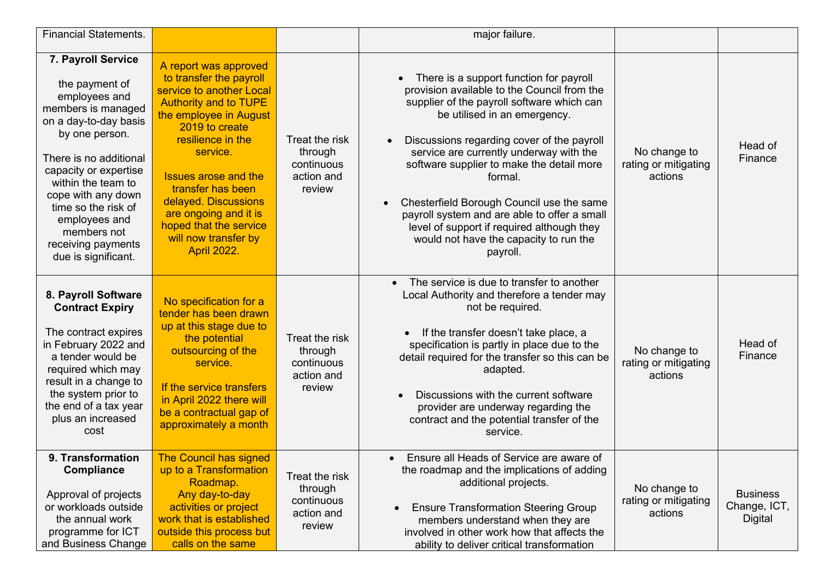| <b>Financial Statements.</b>                                                                                                                                                                                                                                                                                              |                                                                                                                                                                                                                                                                                                                                                                        |                                                                 | major failure.                                                                                                                                                                                                                                                                                                                                                                                                                                                                                                         |                                                 |                                                   |
|---------------------------------------------------------------------------------------------------------------------------------------------------------------------------------------------------------------------------------------------------------------------------------------------------------------------------|------------------------------------------------------------------------------------------------------------------------------------------------------------------------------------------------------------------------------------------------------------------------------------------------------------------------------------------------------------------------|-----------------------------------------------------------------|------------------------------------------------------------------------------------------------------------------------------------------------------------------------------------------------------------------------------------------------------------------------------------------------------------------------------------------------------------------------------------------------------------------------------------------------------------------------------------------------------------------------|-------------------------------------------------|---------------------------------------------------|
| 7. Payroll Service<br>the payment of<br>employees and<br>members is managed<br>on a day-to-day basis<br>by one person.<br>There is no additional<br>capacity or expertise<br>within the team to<br>cope with any down<br>time so the risk of<br>employees and<br>members not<br>receiving payments<br>due is significant. | A report was approved<br>to transfer the payroll<br>service to another Local<br><b>Authority and to TUPE</b><br>the employee in August<br>2019 to create<br>resilience in the<br>service.<br><b>Issues arose and the</b><br>transfer has been<br>delayed. Discussions<br>are ongoing and it is<br>hoped that the service<br>will now transfer by<br><b>April 2022.</b> | Treat the risk<br>through<br>continuous<br>action and<br>review | There is a support function for payroll<br>provision available to the Council from the<br>supplier of the payroll software which can<br>be utilised in an emergency.<br>Discussions regarding cover of the payroll<br>service are currently underway with the<br>software supplier to make the detail more<br>formal.<br>Chesterfield Borough Council use the same<br>payroll system and are able to offer a small<br>level of support if required although they<br>would not have the capacity to run the<br>payroll. | No change to<br>rating or mitigating<br>actions | Head of<br>Finance                                |
| 8. Payroll Software<br><b>Contract Expiry</b><br>The contract expires<br>in February 2022 and<br>a tender would be<br>required which may<br>result in a change to<br>the system prior to<br>the end of a tax year<br>plus an increased<br>cost                                                                            | No specification for a<br>tender has been drawn<br>up at this stage due to<br>the potential<br>outsourcing of the<br>service.<br>If the service transfers<br>in April 2022 there will<br>be a contractual gap of<br>approximately a month                                                                                                                              | Treat the risk<br>through<br>continuous<br>action and<br>review | The service is due to transfer to another<br>$\bullet$<br>Local Authority and therefore a tender may<br>not be required.<br>If the transfer doesn't take place, a<br>$\bullet$<br>specification is partly in place due to the<br>detail required for the transfer so this can be<br>adapted.<br>Discussions with the current software<br>provider are underway regarding the<br>contract and the potential transfer of the<br>service.                                                                                 | No change to<br>rating or mitigating<br>actions | Head of<br>Finance                                |
| 9. Transformation<br><b>Compliance</b><br>Approval of projects<br>or workloads outside<br>the annual work<br>programme for ICT<br>and Business Change                                                                                                                                                                     | <b>The Council has signed</b><br>up to a Transformation<br>Roadmap.<br>Any day-to-day<br>activities or project<br>work that is established<br>outside this process but<br>calls on the same                                                                                                                                                                            | Treat the risk<br>through<br>continuous<br>action and<br>review | Ensure all Heads of Service are aware of<br>$\bullet$<br>the roadmap and the implications of adding<br>additional projects.<br><b>Ensure Transformation Steering Group</b><br>$\bullet$<br>members understand when they are<br>involved in other work how that affects the<br>ability to deliver critical transformation                                                                                                                                                                                               | No change to<br>rating or mitigating<br>actions | <b>Business</b><br>Change, ICT,<br><b>Digital</b> |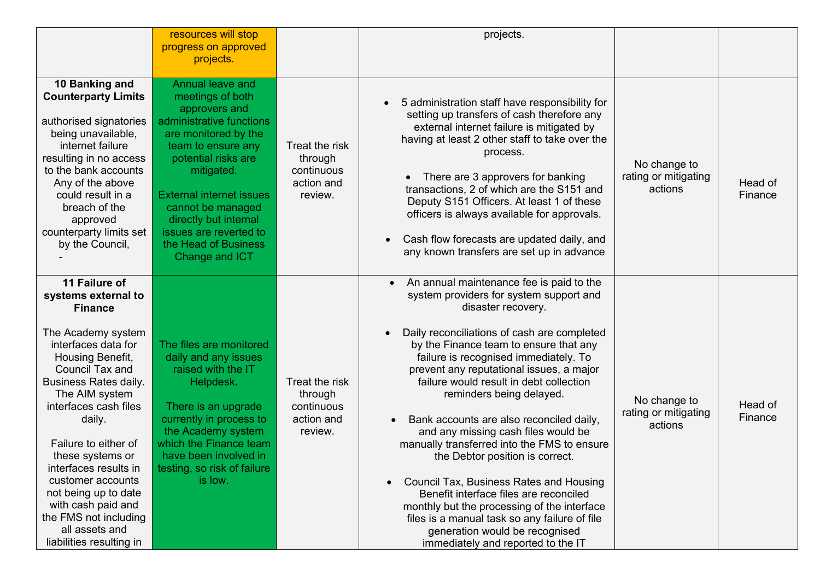|                                                                                                                                                                                                                                                                                                                                                                                                                                                       | resources will stop<br>progress on approved                                                                                                                                                                                                                                                                                      |                                                                  | projects.                                                                                                                                                                                                                                                                                                                                                                                                                                                                                                                                                                                                                                                                                                                                                                                                                         |                                                 |                    |
|-------------------------------------------------------------------------------------------------------------------------------------------------------------------------------------------------------------------------------------------------------------------------------------------------------------------------------------------------------------------------------------------------------------------------------------------------------|----------------------------------------------------------------------------------------------------------------------------------------------------------------------------------------------------------------------------------------------------------------------------------------------------------------------------------|------------------------------------------------------------------|-----------------------------------------------------------------------------------------------------------------------------------------------------------------------------------------------------------------------------------------------------------------------------------------------------------------------------------------------------------------------------------------------------------------------------------------------------------------------------------------------------------------------------------------------------------------------------------------------------------------------------------------------------------------------------------------------------------------------------------------------------------------------------------------------------------------------------------|-------------------------------------------------|--------------------|
|                                                                                                                                                                                                                                                                                                                                                                                                                                                       | projects.                                                                                                                                                                                                                                                                                                                        |                                                                  |                                                                                                                                                                                                                                                                                                                                                                                                                                                                                                                                                                                                                                                                                                                                                                                                                                   |                                                 |                    |
| 10 Banking and<br><b>Counterparty Limits</b><br>authorised signatories<br>being unavailable,<br>internet failure<br>resulting in no access<br>to the bank accounts<br>Any of the above<br>could result in a<br>breach of the<br>approved<br>counterparty limits set<br>by the Council,                                                                                                                                                                | <b>Annual leave and</b><br>meetings of both<br>approvers and<br>administrative functions<br>are monitored by the<br>team to ensure any<br>potential risks are<br>mitigated.<br><b>External internet issues</b><br>cannot be managed<br>directly but internal<br>issues are reverted to<br>the Head of Business<br>Change and ICT | Treat the risk<br>through<br>continuous<br>action and<br>review. | 5 administration staff have responsibility for<br>$\bullet$<br>setting up transfers of cash therefore any<br>external internet failure is mitigated by<br>having at least 2 other staff to take over the<br>process.<br>There are 3 approvers for banking<br>transactions, 2 of which are the S151 and<br>Deputy S151 Officers. At least 1 of these<br>officers is always available for approvals.<br>Cash flow forecasts are updated daily, and<br>any known transfers are set up in advance                                                                                                                                                                                                                                                                                                                                     | No change to<br>rating or mitigating<br>actions | Head of<br>Finance |
| 11 Failure of<br>systems external to<br><b>Finance</b><br>The Academy system<br>interfaces data for<br>Housing Benefit,<br><b>Council Tax and</b><br><b>Business Rates daily.</b><br>The AIM system<br>interfaces cash files<br>daily.<br>Failure to either of<br>these systems or<br>interfaces results in<br>customer accounts<br>not being up to date<br>with cash paid and<br>the FMS not including<br>all assets and<br>liabilities resulting in | The files are monitored<br>daily and any issues<br>raised with the IT<br>Helpdesk.<br>There is an upgrade<br>currently in process to<br>the Academy system<br>which the Finance team<br>have been involved in<br>testing, so risk of failure<br>is low.                                                                          | Treat the risk<br>through<br>continuous<br>action and<br>review. | An annual maintenance fee is paid to the<br>$\bullet$<br>system providers for system support and<br>disaster recovery.<br>Daily reconciliations of cash are completed<br>by the Finance team to ensure that any<br>failure is recognised immediately. To<br>prevent any reputational issues, a major<br>failure would result in debt collection<br>reminders being delayed.<br>Bank accounts are also reconciled daily,<br>and any missing cash files would be<br>manually transferred into the FMS to ensure<br>the Debtor position is correct.<br><b>Council Tax, Business Rates and Housing</b><br>$\bullet$<br>Benefit interface files are reconciled<br>monthly but the processing of the interface<br>files is a manual task so any failure of file<br>generation would be recognised<br>immediately and reported to the IT | No change to<br>rating or mitigating<br>actions | Head of<br>Finance |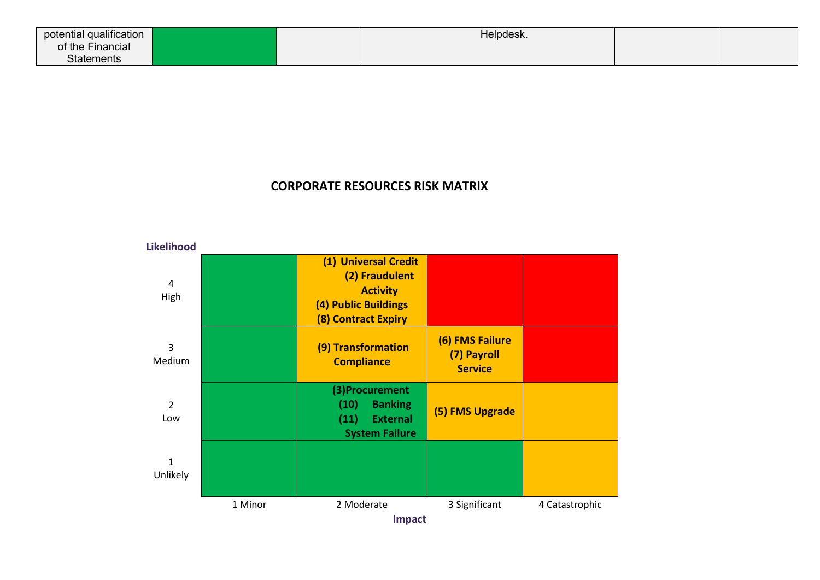| $\sim$ 11.64 $\times$<br>potential qualification |  | Helpdesk. |  |
|--------------------------------------------------|--|-----------|--|
| of the Financial                                 |  |           |  |
| <b>Statements</b>                                |  |           |  |

## **CORPORATE RESOURCES RISK MATRIX**